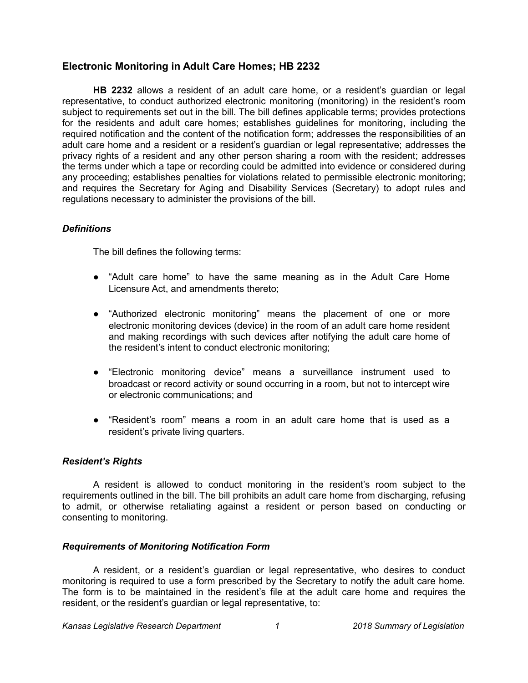# **Electronic Monitoring in Adult Care Homes; HB 2232**

**HB 2232** allows a resident of an adult care home, or a resident's guardian or legal representative, to conduct authorized electronic monitoring (monitoring) in the resident's room subject to requirements set out in the bill. The bill defines applicable terms; provides protections for the residents and adult care homes; establishes guidelines for monitoring, including the required notification and the content of the notification form; addresses the responsibilities of an adult care home and a resident or a resident's guardian or legal representative; addresses the privacy rights of a resident and any other person sharing a room with the resident; addresses the terms under which a tape or recording could be admitted into evidence or considered during any proceeding; establishes penalties for violations related to permissible electronic monitoring; and requires the Secretary for Aging and Disability Services (Secretary) to adopt rules and regulations necessary to administer the provisions of the bill.

## *Definitions*

The bill defines the following terms:

- "Adult care home" to have the same meaning as in the Adult Care Home Licensure Act, and amendments thereto;
- "Authorized electronic monitoring" means the placement of one or more electronic monitoring devices (device) in the room of an adult care home resident and making recordings with such devices after notifying the adult care home of the resident's intent to conduct electronic monitoring;
- "Electronic monitoring device" means a surveillance instrument used to broadcast or record activity or sound occurring in a room, but not to intercept wire or electronic communications; and
- "Resident's room" means a room in an adult care home that is used as a resident's private living quarters.

#### *Resident's Rights*

A resident is allowed to conduct monitoring in the resident's room subject to the requirements outlined in the bill. The bill prohibits an adult care home from discharging, refusing to admit, or otherwise retaliating against a resident or person based on conducting or consenting to monitoring.

#### *Requirements of Monitoring Notification Form*

A resident, or a resident's guardian or legal representative, who desires to conduct monitoring is required to use a form prescribed by the Secretary to notify the adult care home. The form is to be maintained in the resident's file at the adult care home and requires the resident, or the resident's guardian or legal representative, to: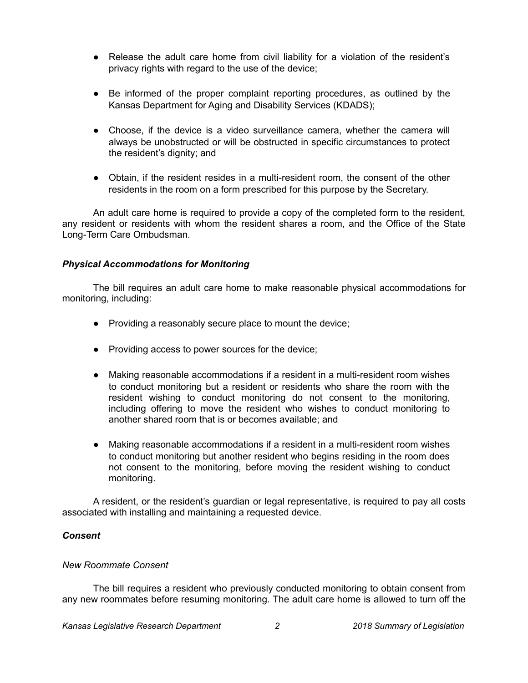- Release the adult care home from civil liability for a violation of the resident's privacy rights with regard to the use of the device;
- Be informed of the proper complaint reporting procedures, as outlined by the Kansas Department for Aging and Disability Services (KDADS);
- Choose, if the device is a video surveillance camera, whether the camera will always be unobstructed or will be obstructed in specific circumstances to protect the resident's dignity; and
- Obtain, if the resident resides in a multi-resident room, the consent of the other residents in the room on a form prescribed for this purpose by the Secretary.

An adult care home is required to provide a copy of the completed form to the resident, any resident or residents with whom the resident shares a room, and the Office of the State Long-Term Care Ombudsman.

# *Physical Accommodations for Monitoring*

The bill requires an adult care home to make reasonable physical accommodations for monitoring, including:

- Providing a reasonably secure place to mount the device;
- Providing access to power sources for the device;
- Making reasonable accommodations if a resident in a multi-resident room wishes to conduct monitoring but a resident or residents who share the room with the resident wishing to conduct monitoring do not consent to the monitoring, including offering to move the resident who wishes to conduct monitoring to another shared room that is or becomes available; and
- Making reasonable accommodations if a resident in a multi-resident room wishes to conduct monitoring but another resident who begins residing in the room does not consent to the monitoring, before moving the resident wishing to conduct monitoring.

A resident, or the resident's guardian or legal representative, is required to pay all costs associated with installing and maintaining a requested device.

# *Consent*

# *New Roommate Consent*

The bill requires a resident who previously conducted monitoring to obtain consent from any new roommates before resuming monitoring. The adult care home is allowed to turn off the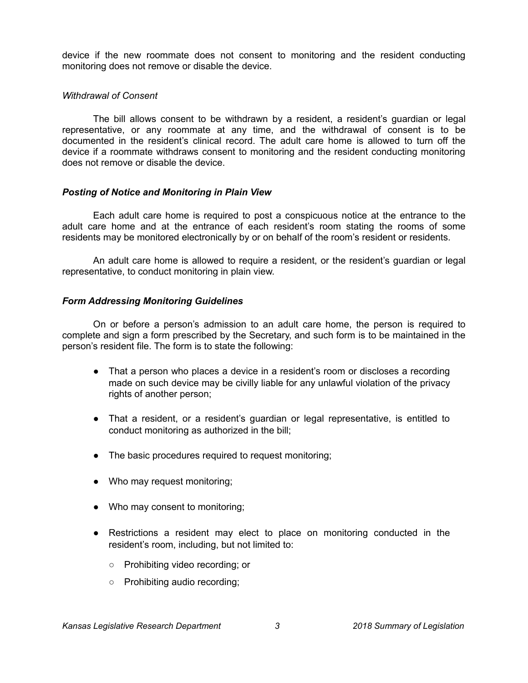device if the new roommate does not consent to monitoring and the resident conducting monitoring does not remove or disable the device.

### *Withdrawal of Consent*

The bill allows consent to be withdrawn by a resident, a resident's guardian or legal representative, or any roommate at any time, and the withdrawal of consent is to be documented in the resident's clinical record. The adult care home is allowed to turn off the device if a roommate withdraws consent to monitoring and the resident conducting monitoring does not remove or disable the device.

## *Posting of Notice and Monitoring in Plain View*

Each adult care home is required to post a conspicuous notice at the entrance to the adult care home and at the entrance of each resident's room stating the rooms of some residents may be monitored electronically by or on behalf of the room's resident or residents.

An adult care home is allowed to require a resident, or the resident's guardian or legal representative, to conduct monitoring in plain view.

## *Form Addressing Monitoring Guidelines*

On or before a person's admission to an adult care home, the person is required to complete and sign a form prescribed by the Secretary, and such form is to be maintained in the person's resident file. The form is to state the following:

- That a person who places a device in a resident's room or discloses a recording made on such device may be civilly liable for any unlawful violation of the privacy rights of another person;
- That a resident, or a resident's guardian or legal representative, is entitled to conduct monitoring as authorized in the bill;
- The basic procedures required to request monitoring;
- Who may request monitoring;
- Who may consent to monitoring;
- Restrictions a resident may elect to place on monitoring conducted in the resident's room, including, but not limited to:
	- Prohibiting video recording; or
	- Prohibiting audio recording;